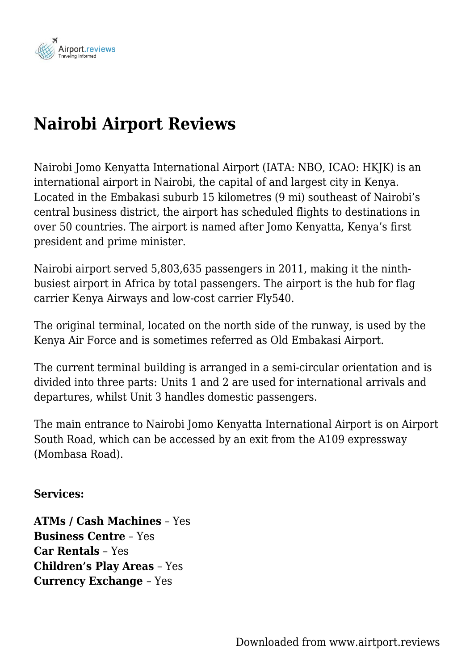

## **Nairobi Airport Reviews**

Nairobi Jomo Kenyatta International Airport (IATA: NBO, ICAO: HKJK) is an international airport in Nairobi, the capital of and largest city in Kenya. Located in the Embakasi suburb 15 kilometres (9 mi) southeast of Nairobi's central business district, the airport has scheduled flights to destinations in over 50 countries. The airport is named after Jomo Kenyatta, Kenya's first president and prime minister.

Nairobi airport served 5,803,635 passengers in 2011, making it the ninthbusiest airport in Africa by total passengers. The airport is the hub for flag carrier Kenya Airways and low-cost carrier Fly540.

The original terminal, located on the north side of the runway, is used by the Kenya Air Force and is sometimes referred as Old Embakasi Airport.

The current terminal building is arranged in a semi-circular orientation and is divided into three parts: Units 1 and 2 are used for international arrivals and departures, whilst Unit 3 handles domestic passengers.

The main entrance to Nairobi Jomo Kenyatta International Airport is on Airport South Road, which can be accessed by an exit from the A109 expressway (Mombasa Road).

## **Services:**

**ATMs / Cash Machines** – Yes **Business Centre** – Yes **Car Rentals** – Yes **Children's Play Areas** – Yes **Currency Exchange** – Yes